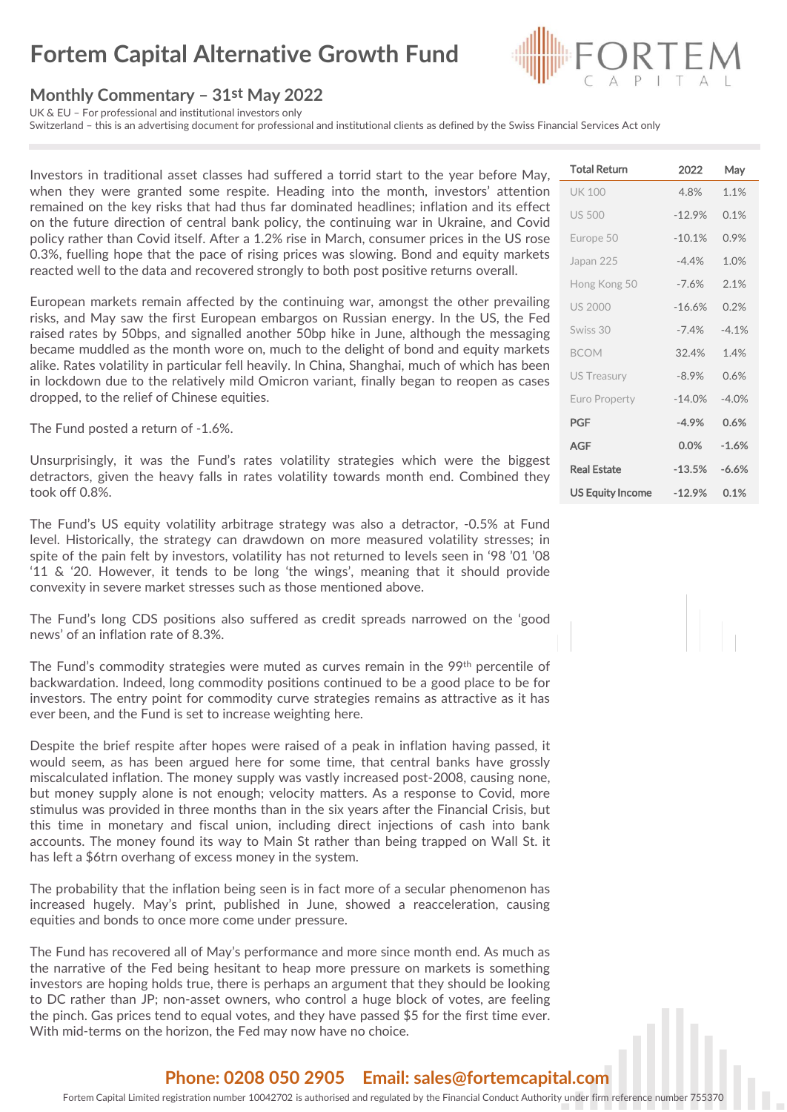# **Fortem Capital Alternative Growth Fund**

### **Monthly Commentary – 31st May 2022**

UK & EU – For professional and institutional investors only

Switzerland – this is an advertising document for professional and institutional clients as defined by the Swiss Financial Services Act only

Investors in traditional asset classes had suffered a torrid start to the year before May, when they were granted some respite. Heading into the month, investors' attention remained on the key risks that had thus far dominated headlines; inflation and its effect on the future direction of central bank policy, the continuing war in Ukraine, and Covid policy rather than Covid itself. After a 1.2% rise in March, consumer prices in the US rose 0.3%, fuelling hope that the pace of rising prices was slowing. Bond and equity markets reacted well to the data and recovered strongly to both post positive returns overall.

European markets remain affected by the continuing war, amongst the other prevailing risks, and May saw the first European embargos on Russian energy. In the US, the Fed raised rates by 50bps, and signalled another 50bp hike in June, although the messaging became muddled as the month wore on, much to the delight of bond and equity markets alike. Rates volatility in particular fell heavily. In China, Shanghai, much of which has been in lockdown due to the relatively mild Omicron variant, finally began to reopen as cases dropped, to the relief of Chinese equities.

The Fund posted a return of -1.6%.

Unsurprisingly, it was the Fund's rates volatility strategies which were the biggest detractors, given the heavy falls in rates volatility towards month end. Combined they took off 0.8%.

The Fund's US equity volatility arbitrage strategy was also a detractor, -0.5% at Fund level. Historically, the strategy can drawdown on more measured volatility stresses; in spite of the pain felt by investors, volatility has not returned to levels seen in '98 '01 '08 '11 & '20. However, it tends to be long 'the wings', meaning that it should provide convexity in severe market stresses such as those mentioned above.

The Fund's long CDS positions also suffered as credit spreads narrowed on the 'good news' of an inflation rate of 8.3%.

The Fund's commodity strategies were muted as curves remain in the 99<sup>th</sup> percentile of backwardation. Indeed, long commodity positions continued to be a good place to be for investors. The entry point for commodity curve strategies remains as attractive as it has ever been, and the Fund is set to increase weighting here.

Despite the brief respite after hopes were raised of a peak in inflation having passed, it would seem, as has been argued here for some time, that central banks have grossly miscalculated inflation. The money supply was vastly increased post-2008, causing none, but money supply alone is not enough; velocity matters. As a response to Covid, more stimulus was provided in three months than in the six years after the Financial Crisis, but this time in monetary and fiscal union, including direct injections of cash into bank accounts. The money found its way to Main St rather than being trapped on Wall St. it has left a \$6trn overhang of excess money in the system.

The probability that the inflation being seen is in fact more of a secular phenomenon has increased hugely. May's print, published in June, showed a reacceleration, causing equities and bonds to once more come under pressure.

The Fund has recovered all of May's performance and more since month end. As much as the narrative of the Fed being hesitant to heap more pressure on markets is something investors are hoping holds true, there is perhaps an argument that they should be looking to DC rather than JP; non-asset owners, who control a huge block of votes, are feeling the pinch. Gas prices tend to equal votes, and they have passed \$5 for the first time ever. With mid-terms on the horizon, the Fed may now have no choice.

### UK 100 4.8% 1.1% US 500 -12.9% 0.1% Europe 50 -10.1% 0.9% Japan 225 -4.4% 1.0% Hong Kong 50 -7.6% 2.1% US 2000 -16.6% 0.2% Swiss 30  $-7.4\%$   $-4.1\%$ BCOM 32.4% 1.4% US Treasury -8.9% 0.6% Euro Property -14.0% -4.0% PGF **-4.9% 0.6%** AGF **0.0% -1.6%** Real Estate **-13.5% -6.6%** US Equity Income **-12.9% 0.1%**

Total Return 2022 May

#### **Phone: 0208 050 2905 Email: sales@fortemcapital.com**